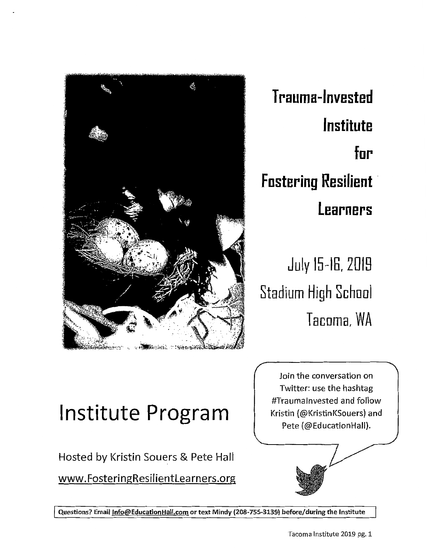

**T rauma-lnvested Institute for Fostering Resilient Learners** 

**July 15-16, 2018 Stadium High School T acorn a, WA** 

# **Institute Program**

Hosted by Kristin Souers & Pete Hall

www.FosteringResilientlearners.org

Join the conversation on Twitter: use the hashtag #Traumalnvested and follow Kristin (@KristinKSouers) and Pete (@EducationHall).

Questions? Email Info@EducationHall.com or text Mindy (208-755-3139) before/during the Institute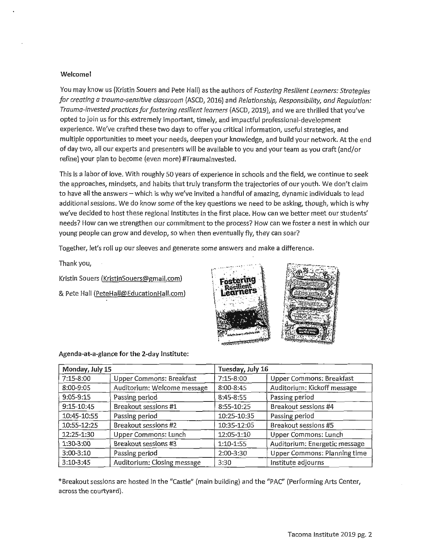## Welcome!

You may know us (Kristin Souers and Pete Hall} as the authors of *Fostering Resilient Learners: Strategies for creating a trauma-sensitive classroom* (ASCD, 2016} and *Relationship, Responsibility, and Regulation; Trauma-invested practices for fostering resilient learners* (ASCD, 2019), and we are thrilled that you've opted to join us for this extremely important, timely, and impactful professional-development experience. We've crafted these two days to offer you critical information, useful strategies, and multiple opportunities to meet your needs, deepen your knowledge, and build your network. At the end of day two, all our experts and presenters will be available to you and your team as you craft (and/or refine) your plan to become (even more} #Traumalnvested.

This is a labor of love. With roughly 50 years of experience in schools and the field, we continue to seek the approaches, mindsets, and habits that truly transform the trajectories of our youth. We don't claim to have all the answers - which is why we've invited a handful of amazing, dynamic individuals to lead additional sessions. We do know some of the key questions we need to be asking, though, which is why we've decided to host these regional Institutes in the first place. How can we better meet our students' needs? How can we strengthen our commitment to the process? How can we foster a nest in which our young people can grow and develop, so when then eventually fly, they can soar?

Together, let's roll up our sleeves and generate some answers and make a difference.

Thank you,

Kristin Souers (KristinSouers@gmail.com)

& Pete Hall (PeteHall@EducationHall.com)



## Agenda-at-a-glance for the 2-day Institute:

| Monday, July 15 |                             | Tuesday, July 16 |                               |
|-----------------|-----------------------------|------------------|-------------------------------|
| 7:15-8:00       | Upper Commons: Breakfast    | 7:15-8:00        | Upper Commons: Breakfast      |
| 8:00-9:05       | Auditorium: Welcome message | 8:00-8:45        | Auditorium: Kickoff message   |
| $9:05 - 9:15$   | Passing period              | 8:45-8:55        | Passing period                |
| 9:15-10:45      | Breakout sessions #1        | 8:55-10:25       | Breakout sessions #4          |
| 10:45-10:55     | Passing period              | 10:25-10:35      | Passing period                |
| 10:55-12:25     | Breakout sessions #2        | 10:35-12:05      | Breakout sessions #5          |
| 12:25-1:30      | Upper Commons: Lunch        | 12:05-1:10       | Upper Commons: Lunch          |
| 1:30-3:00       | Breakout sessions #3        | 1:10-1:55        | Auditorium: Energetic message |
| 3:00-3:10       | Passing period              | 2:00-3:30        | Upper Commons: Planning time  |
| $3:10-3:45$     | Auditorium: Closing message | 3:30             | Institute adjourns            |

\* Breakout sessions are hosted in the "Castle" (main building) and the "PAC" (Performing Arts Center, across the courtyard).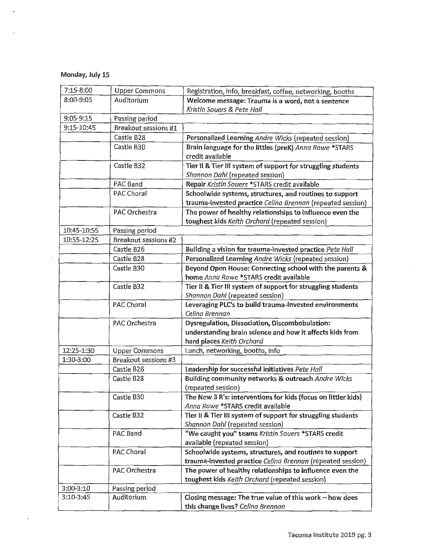# Monday, July 15

 $\bar{z}$ 

 $\ddot{\phantom{a}}$ 

 $\cdot$ 

| 7:15-8:00   | <b>Upper Commons</b> | Registration, info, breakfast, coffee, networking, booths     |  |
|-------------|----------------------|---------------------------------------------------------------|--|
| 8:00-9:05   | Auditorium           | Welcome message: Trauma is a word, not a sentence             |  |
|             |                      | Kristin Souers & Pete Hall                                    |  |
| 9:05-9:15   | Passing period       |                                                               |  |
| 9:15-10:45  | Breakout sessions #1 |                                                               |  |
|             | Castle B28           | Personalized Learning Andre Wicks (repeated session)          |  |
|             | Castle B30           | Brain language for the littles (preK) Anna Rowe *STARS        |  |
|             |                      | credit available                                              |  |
|             | Castle B32           | Tier II & Tier III system of support for struggling students  |  |
|             |                      | Shannon Dahl (repeated session)                               |  |
|             | PAC Band             | Repair Kristin Souers *STARS credit available                 |  |
|             | PAC Choral           | Schoolwide systems, structures, and routines to support       |  |
|             |                      | trauma-invested practice Celina Brennan (repeated session)    |  |
|             | PAC Orchestra        | The power of healthy relationships to influence even the      |  |
|             |                      | toughest kids Keith Orchard (repeated session)                |  |
| 10:45-10:55 | Passing period       |                                                               |  |
| 10:55-12:25 | Breakout sessions #2 |                                                               |  |
|             | Castle B26           | Building a vision for trauma-invested practice Pete Hall      |  |
|             | Castle B28           | Personalized Learning Andre Wicks (repeated session)          |  |
|             | Castle B30           | Beyond Open House: Connecting school with the parents &       |  |
|             |                      | home Anna Rowe *STARS credit available                        |  |
|             | Castle B32           | Tier II & Tier III system of support for struggling students  |  |
|             |                      | Shannon Dahl (repeated session)                               |  |
|             | PAC Choral           | Leveraging PLC's to build trauma-invested environments        |  |
|             |                      | Celina Brennan                                                |  |
|             | PAC Orchestra        | Dysregulation, Dissociation, Discombobulation:                |  |
|             |                      | understanding brain science and how it affects kids from      |  |
|             |                      | hard places Keith Orchard                                     |  |
| 12:25-1:30  | <b>Upper Commons</b> | Lunch, networking, booths, info                               |  |
| 1:30-3:00   | Breakout sessions #3 |                                                               |  |
|             | Castle B26           | Leadership for successful initiatives Pete Hall               |  |
|             | Castle B28           | Building community networks & outreach Andre Wicks            |  |
|             |                      | (repeated session)                                            |  |
|             | Castle B30           | The New 3 R's: interventions for kids (focus on littler kids) |  |
|             |                      | Anna Rowe *STARS credit available                             |  |
|             | Castle B32           | Tier II & Tier III system of support for struggling students  |  |
|             |                      | Shannon Dahl (repeated session)                               |  |
|             | PAC Band             | "We caught you" teams Kristin Souers *STARS credit            |  |
|             |                      | available (repeated session)                                  |  |
|             | PAC Choral           | Schoolwide systems, structures, and routines to support       |  |
|             |                      | trauma-invested practice Celina Brennan (repeated session)    |  |
|             | PAC Orchestra        | The power of healthy relationships to influence even the      |  |
|             |                      | toughest kids Keith Orchard (repeated session)                |  |
| 3:00-3:10   | Passing period       |                                                               |  |
| 3:10-3:45   | Auditorium           | Closing message: The true value of this work $-$ how does     |  |
|             |                      | this change lives? Celina Brennan                             |  |

 $\bar{z}$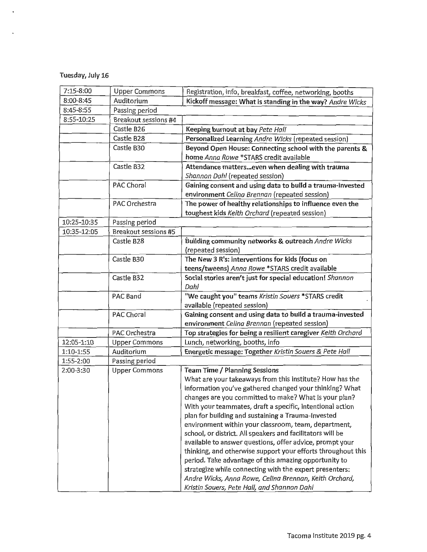# Tuesday, July 16

 $\ddot{\phantom{a}}$ 

| 7:15-8:00   | <b>Upper Commons</b> | Registration, info, breakfast, coffee, networking, booths                                                         |  |
|-------------|----------------------|-------------------------------------------------------------------------------------------------------------------|--|
| 8:00-8:45   | Auditorium           | Kickoff message: What is standing in the way? Andre Wicks                                                         |  |
| 8:45-8:55   | Passing period       |                                                                                                                   |  |
| 8:55-10:25  | Breakout sessions #4 |                                                                                                                   |  |
|             | Castle B26           | Keeping burnout at bay Pete Hall                                                                                  |  |
|             | Castle B28           | Personalized Learning Andre Wicks (repeated session)                                                              |  |
|             | Castle B30           | Beyond Open House: Connecting school with the parents &                                                           |  |
|             |                      | home Anna Rowe *STARS credit available                                                                            |  |
|             | Castle B32           | Attendance matterseven when dealing with trauma                                                                   |  |
|             |                      | Shannon Dahl (repeated session)                                                                                   |  |
|             | PAC Choral           | Gaining consent and using data to build a trauma-invested                                                         |  |
|             |                      | environment Celina Brennan (repeated session)                                                                     |  |
|             | PAC Orchestra        | The power of healthy relationships to influence even the                                                          |  |
|             |                      | toughest kids Keith Orchard (repeated session)                                                                    |  |
| 10:25-10:35 | Passing period       |                                                                                                                   |  |
| 10:35-12:05 | Breakout sessions #5 |                                                                                                                   |  |
|             | Castle B28           | Building community networks & outreach Andre Wicks                                                                |  |
|             |                      | (repeated session)                                                                                                |  |
|             | Castle B30           | The New 3 R's: interventions for kids (focus on                                                                   |  |
|             |                      | teens/tweens) Anna Rowe *STARS credit available                                                                   |  |
|             | Castle B32           | Social stories aren't just for special education! Shannon                                                         |  |
|             |                      | Dahl                                                                                                              |  |
|             | PAC Band             | "We caught you" teams Kristin Souers *STARS credit                                                                |  |
|             |                      | available (repeated session)                                                                                      |  |
|             | PAC Choral           | Gaining consent and using data to build a trauma-invested                                                         |  |
|             |                      | environment Celina Brennan (repeated session)                                                                     |  |
|             | PAC Orchestra        | Top strategies for being a resilient caregiver Keith Orchard                                                      |  |
| 12:05-1:10  | <b>Upper Commons</b> | Lunch, networking, booths, info                                                                                   |  |
| 1:10-1:55   | Auditorium           | Energetic message: Together Kristin Souers & Pete Hall                                                            |  |
| 1:55-2:00   | Passing period       |                                                                                                                   |  |
| 2:00-3:30   | <b>Upper Commons</b> | <b>Team Time / Planning Sessions</b>                                                                              |  |
|             |                      | What are your takeaways from this institute? How has the                                                          |  |
|             |                      | information you've gathered changed your thinking? What                                                           |  |
|             |                      | changes are you committed to make? What is your plan?                                                             |  |
|             |                      | With your teammates, draft a specific, intentional action                                                         |  |
|             |                      | plan for building and sustaining a Trauma-Invested                                                                |  |
|             |                      | environment within your classroom, team, department,                                                              |  |
|             |                      | school, or district. All speakers and facilitators will be                                                        |  |
|             |                      | available to answer questions, offer advice, prompt your                                                          |  |
|             |                      | thinking, and otherwise support your efforts throughout this                                                      |  |
|             |                      | period. Take advantage of this amazing opportunity to                                                             |  |
|             |                      | strategize while connecting with the expert presenters:<br>Andre Wicks, Anna Rowe, Celina Brennan, Keith Orchard, |  |
|             |                      |                                                                                                                   |  |
|             |                      | Kristin Souers, Pete Hall, and Shannon Dahl                                                                       |  |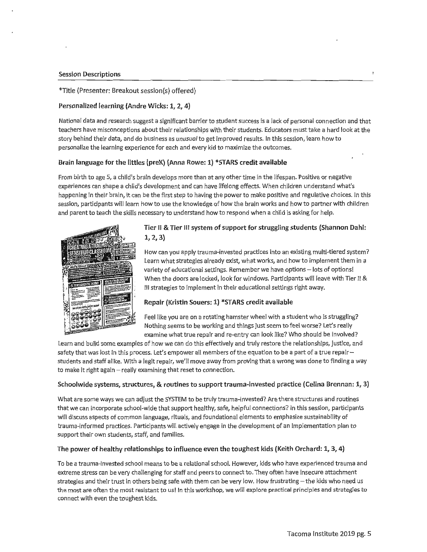### **Session Descriptions**

## \*Title (Presenter: Breakout session(s) offered)

## **Personalized learning (Andre Wicks: 1, 2, 4)**

National data and research suggest a significant barrier to student success is a lack of personal connection and that teachers have misconceptions about their relationships with their students. Educators must take a hard look at the story behind their data, and do business as unusual to get improved results. In this session, learn how to personalize the learning experience for each and every kid to maximize the outcomes.

## **Brain language for the littles (preK) (Anna Rowe: 1) \*STARS credit available**

From birth to age 5, a child's brain develops more than at any other time in the lifespan. Positive or negative experiences can shape a child's development and can have lifelong effects. When children understand what's happening in their brain, it can be the first step to having the power to make positive and regulative choices. In this session, participants will learn how to use the knowledge of how the brain works and how to partner with children and parent to teach the skills necessary to understand how to respond when a child is asking for help.

![](_page_4_Picture_6.jpeg)

# **Tier** II & **Tier Ill system of support for struggling students (Shannon Dahl: 1, 2, 3)**

How can you apply trauma-invested practices into an existing multi-tiered system? Learn what strategies already exist, what works, and how to implement them in a variety of educational settings. Remember we have options - lots of options! When the doors are locked, look for windows. Participants will leave with Tier II & Ill strategies to implement in their educational settings right away.

## **Repair (Kristin Souers: 1) \*STARS credit available**

Feel like you are on a rotating hamster wheel with a student who is struggling? Nothing seems to be working and things just seem to feel worse? Let's really examine what true repair and re-entry can look like? Who should be involved?

Learn and build some examples of how we can do this effectively and truly restore the relationships, justice, and safety that was lost in this process. Let's empower all members of the equation to be a part of a true repairstudents and staff alike. With a legit repair, we'll move away from proving that a wrong was done to finding a way to make it right again-really examining that reset to connection.

## **Schoolwide systems, structures, & routines to support trauma-invested practice (Celina Brennan: 1, 3)**

What are some ways we can adjust the SYSTEM to be truly trauma-invested? Are there structures and routines that we can incorporate school-wide that support healthy, safe, helpful connections? In this session, participants will discuss aspects of common language, rituals, and foundational elements to emphasize sustainability of trauma-informed practices. Participants will actively engage in the development of an implementation plan to support their own students, staff, and families.

# **The power of healthy relationships to influence even the toughest kids (Keith Orchard: 1, 3, 4)**

To be a trauma-invested school means to be a relational school. However, kids who have experienced trauma and extreme stress can be very challenging for staff and peers to connect to. They often have insecure attachment strategies and their trust in others being safe with them can be very low. How frustrating - the kids who need us the most are often the most resistant to us! In this workshop, we will explore practical principles and strategies to connect with even the toughest kids.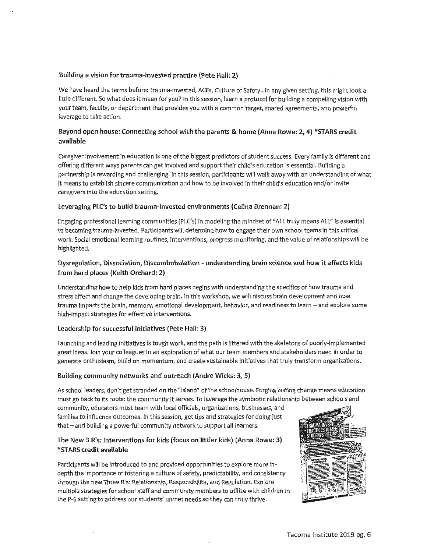## **Building a vision for trauma-invested practice {Pete Hall: 2)**

We have heard the terms before: trauma-invested, ACEs, Culture of Safety ... in any given setting, this might look a little different. So what does it mean for you? In this session, learn a protocol for building a compelling vision with your team, faculty, or department that provides you with a common target, shared agreements, and powerful leverage to take action.

# **Beyond open house: Connecting school with the parents & home (Anna Rowe: 2, 4) \*STARS credit available**

Caregiver involvement in education is one of the biggest predictors of student success. Every family is different and offering different ways parents can get involved and support their child's education is essential. Building a partnership is rewarding and challenging. In this session, participants will walk away with an understanding of what it means to establish sincere communication and how to be involved in their child's education and/or invite caregivers into the education setting.

## **Leveraging PLC's to build trauma-invested environments {Celina Brennan: 2)**

Engaging professional learning communities (PLC's) in modeling the mindset of "ALL truly means ALL" is essential to becoming trauma-invested. Participants will determine how to engage their own school teams in this critical work. Social emotional learning routines, interventions, progress monitoring, and the value of relationships will be highlighted.

# **Dysregulation, Dissociation, Discombobulation - understanding brain science and how it affects kids from hard places (Keith Orchard: 2)**

Understanding how to help kids from hard places begins with understanding the specifics of how trauma and stress affect and change the developing brain. In this workshop, we will discuss brain development and how trauma impacts the brain, memory, emotional development, behavior, and readiness to learn - and explore some high-impact strategies for effective interventions.

#### **Leadership for successful initiatives {Pete Hall: 3)**

Launching and leading initiatives is tough work, and the path is littered with the skeletons of poorly-implemented great ideas. Join your colleagues in an exploration of what our team members and stakeholders need in order to generate enthusiasm, build on momentum, and create sustainable initiatives that truly transform organizations.

## **Building community networks and outreach (Andre Wicks: 3, 5)**

As school leaders, don't get stranded on the "island" of the schoolhouse. Forging lasting change means education must go back to its roots: the community it serves. To leverage the symbiotic relationship between schools and

community, educators must team with local officials, organizations, businesses, and families to influence outcomes. In this session, get tips and strategies for doing just that - and building a powerful community network to support all learners.

## **The New 3 R's: Interventions for kids (focus on littler kids) (Anna Rowe: 3) \*STARS credit available**

Participants will be introduced to and provided opportunities to explore more indepth the importance of fostering a culture of safety, predictability, and consistency through the new Three R's: Relationship, Responsibility, and Regulation. Explore multiple strategies for school staff and community members to utilize with children in the P-6 setting to address our students' unmet needs so they can truly thrive.

![](_page_5_Picture_15.jpeg)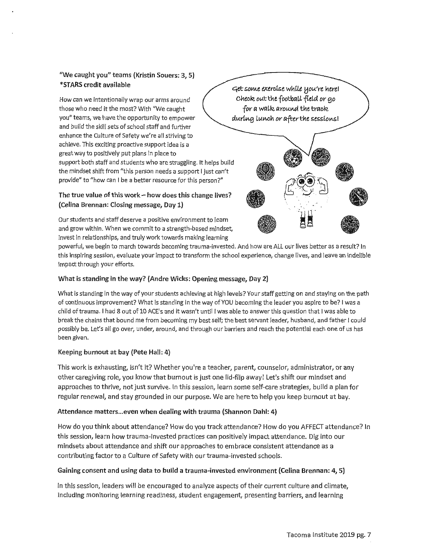# "We caught you" teams (Kristin Souers: 3, 5) \*STARS credit available

How can we intentionally wrap our arms around those who need it the most? With "We caught you" teams, we have the opportunity to empower and build the skill sets of school staff and further enhance the Culture of Safety we're all striving to achieve. This exciting proactive support idea is a great way to positively put plans in place to support both staff and students who are struggling. It helps build the mindset shift from "this person needs a support I just can't provide" to "how can I be a better resource for this person?"

# The true value of this work- how does this change lives? (Celina Brennan: Closing message, Day 1)

Our students and staff deserve a positive environment to learn and grow within. When we commit to a strength-based mindset, invest in relationships, and truly work towards making learning

powerful, we begin to march towards becoming trauma-invested. And how are ALL our lives better as a result? In this inspiring session, evaluate your impact to transform the school experience, change lives, and leave an indelible impact through your efforts.

# What is standing in the way? (Andre Wicks: Opening message, Day 2)

What is standing in the way of your students achieving at high levels? Your staff getting on and staying on the path of continuous improvement? What is standing in the way of YOU becoming the leader you aspire to be? I was a child of trauma. I had 8 out of 10 ACE's and it wasn't until I was able to answer this question that I was able to break the chains that bound me from becoming my best self; the best servant leader, husband, and father I could possibly be. Let's all go over, under, around, and through our barriers and reach the potential each one of us has been given.

## Keeping burnout at bay (Pete Hall: 4}

This work is exhausting, isn't it? Whether you're a teacher, parent, counselor, administrator, or any other caregiving role, you know that burnout is just one lid-flip away! Let's shift our mindset and approaches to thrive, not just survive. In this session, learn some self-care strategies, build a plan for regular renewal, and stay grounded in our purpose. We are here to help you keep burnout at bay.

# Attendance matters... even when dealing with trauma (Shannon Dahl: 4)

How do you think about attendance? How do you track attendance? How do you AFFECT attendance? In this session, learn how trauma-invested practices can positively impact attendance. Dig into our mindsets about attendance and shift our approaches to embrace consistent attendance as a contributing factor to a Culture of Safety with our trauma-invested schools.

## Gaining consent and using data to build a trauma-invested environment (Celina Brennan: 4, 5)

In this session, leaders will be encouraged to analyze aspects of their current culture and climate, including monitoring learning readiness, student engagement, presenting barriers, and learning

ctet so!Mt e;cerof.se wl1£Le *tiou're* 11erel Cl1eoR. *out* t11e footbciLL fteL~ *or* go *for a walk around the track*  $during$  lunch or after the sessions!

![](_page_6_Picture_14.jpeg)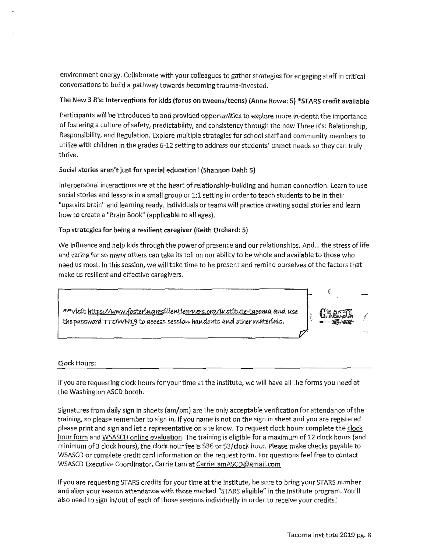environment energy. Collaborate with your colleagues to gather strategies for engaging staff in critical conversations to build a pathway towards becoming trauma-invested.

# The New 3 R's: Interventions for kids (focus on tweens/teens) (Anna Rowe: 5) \*STARS credit available

Participants will be introduced to and provided opportunities to explore more in-depth the importance of fostering a culture of safety, predictability, and consistency through the new Three R's: Relationship, Responsibility, and Regulation. Explore multiple strategies for school staff and community members to utilize with children in the grades 6-12 setting to address our students' unmet needs so they can truly thrive.

## Social stories aren't just for special education! (Shannon Dahl: 5)

Interpersonal interactions are at the heart of relationship-building and human connection. Learn to use social stories and lessons in a small group or 1:1 setting in order to teach students to be in their "upstairs brain" and learning ready. Individuals or teams will practice creating social stories and learn how to create a "Brain Book" (applicable to all ages).

## ·Top strategies for being a resilient caregiver (Keith Orchard: 5)

We influence and help kids through the power of presence and our relationships. And... the stress of life and caring for so many others can take its toll on our ability to be whole and available to those who need us most. In this session, we will take time to be present and remind ourselves of the factors that make us resilient and effective caregivers.

\*\*visit https://www.fosteringresilientlearners.org/institute-tacoma and use *the password TTOWN19 to access session handouts and other materials.* 

![](_page_7_Picture_8.jpeg)

## Clock Hours:

If you are requesting clock hours for your time at the Institute, we will have all the forms you need at the Washington ASCD booth.

Signatures from daily sign in sheets (am/pm) are the only acceptable verification for attendance of the training, so please remember to sign in. If you name is not on the sign in sheet and you are registered please print and sign and let a representative on site know. To request clock hours complete the clock hour form and WSASCD online evaluation. The training is eligible for a maximum of 12 clock hours (and minimum of 3 clock hours), the clock hour fee is \$36 or \$3/clock hour. Please make checks payable to WSASCD or complete credit card information on the request form. For questions feel free to contact WSASCD Executive Coordinator, Carrie Lam at CarrieLamASCD@gmail.com

If you are requesting STARS credits for your time at the institute, be sure to bring your STARS number and align your session attendance with those marked "STARS eligible" in the Institute program. You'll also need to sign in/out of each of those sessions individually in order to receive your credits!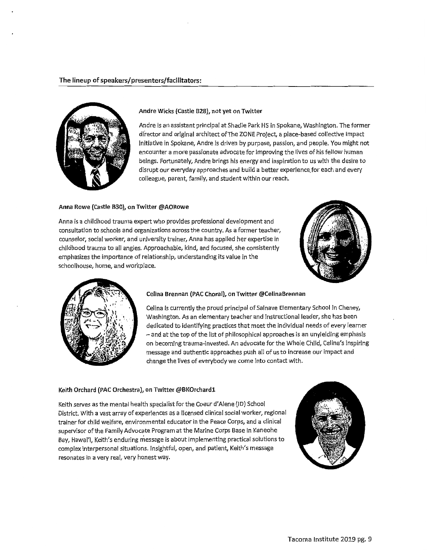![](_page_8_Picture_1.jpeg)

#### Andre Wicks {Castle 828), not yet on Twitter

Andre is an assistant principal at Shadle Park HS in Spokane, Washington. The former director and original architect of The ZONE Project, a place-based collective impact initiative in Spokane, Andre is driven by purpose, passion, and people. You might not encounter a more passionate advocate for improving the lives of his fellow human beings. Fortunately, Andre brings his energy and inspiration to us with the desire to disrupt our everyday approaches and build a better experience.for each and every colleague, parent, family, and student within our reach.

#### Anna Rowe {Castle 830), on Twitter @AORowe

Anna is a childhood trauma expert who provides professional development and consultation to schools and organizations across the country. As a former teacher, counselor, social worker, and university trainer, Anna has applied her expertise in childhood trauma to all angles. Approachable, kind, and focused, she consistently emphasizes the importance of relationship, understanding its value in the schoolhouse, home, and workplace.

![](_page_8_Picture_6.jpeg)

![](_page_8_Picture_7.jpeg)

### Celina Brennan (PAC Choral), on Twitter @CelinaBrennan

Celina is currently the proud principal of Salnave Elementary School in Cheney, Washington. As an elementary teacher and instructional leader, she has been dedicated to identifying practices that meet the individual needs of every learner -and at the top of the list of philosophical approaches is an unyielding emphasis on becoming trauma-invested. An advocate for the Whole Child, Celina's inspiring message and authentic approaches push all of us to increase our impact and change the lives of everybody we come into contact with.

#### Keith Orchard (PAC Orchestra), on Twitter @BKOrchardl

Keith serves as the mental health specialist for the Coeur d'Alene (ID) School District. With a vast array of experiences as a licensed clinical social worker, regional trainer for child welfare, environmental educator in the Peace Corps, and a clinical supervisor of the Family Advocate Program at the Marine Corps Base in Kaneohe Bay, Hawai'I, Keith's enduring message is about implementing practical solutions to complex interpersonal situations. Insightful, open, and patient, Keith's message resonates in a very real, very honest way.

![](_page_8_Picture_12.jpeg)